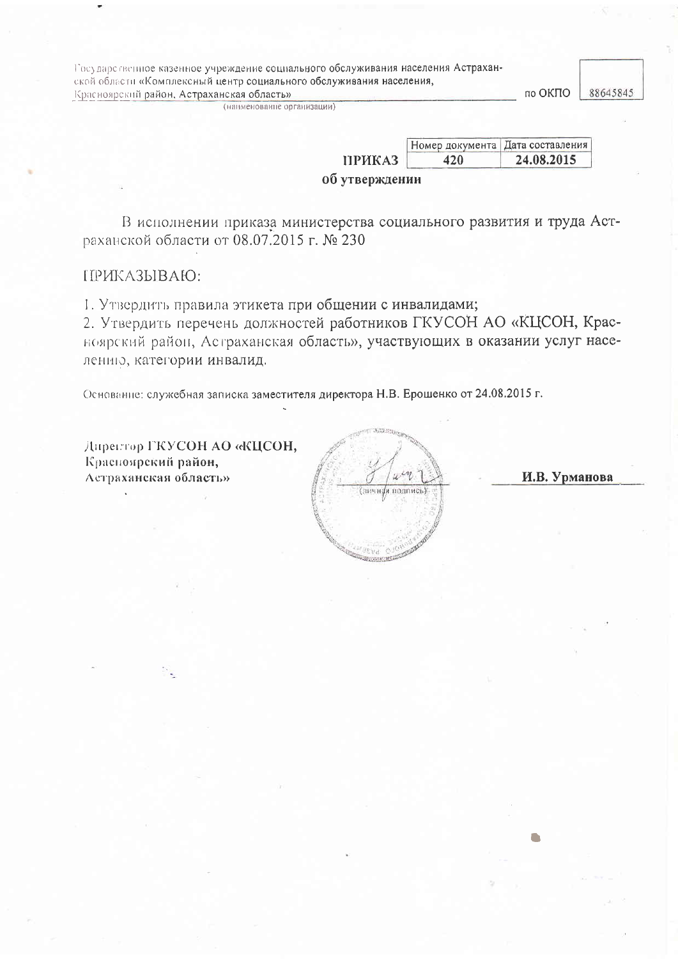Государственное казенное учреждение социального обслуживания населения Астраханской области «Комплексный центр социального обслуживания населения, Красноярский район, Астраханская область»

по ОКПО 88645845

(наименование организации)

Номер документа Дата составления 24.08.2015 ПРИКАЗ 420 об утверждении

В исполнении приказа министерства социального развития и труда Астраханской области от 08.07.2015 г. № 230

ПРИКАЗЫВАЮ:

1. Утвердить правила этикета при общении с инвалидами;

2. Утвердить перечень должностей работников ГКУСОН АО «КЦСОН, Красноярский район, Астраханская область», участвующих в оказании услуг населению, категории инвалид.

Основание: служебная записка заместителя директора Н.В. Ерошенко от 24.08.2015 г.

Директор ГКУСОН АО «КЦСОН, Краспоярский район, Астраханская область»



И.В. Урманова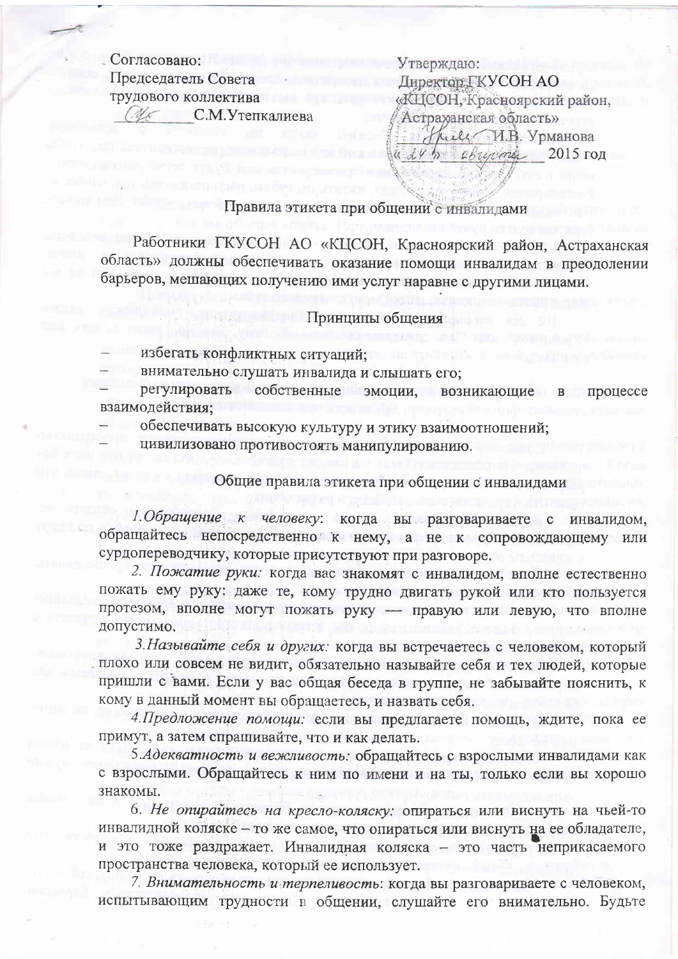Согласовано: Председатель Совета трудового коллектива С.М.Утепкалиева

Утверждаю: Директор ГКУСОН АО «КЦСОН, Красноярский район, Астрауанская область» Thier M.B. YpmaнoBa « it is churcine 2015 год

#### Правила этикета при общении с инвалидами

Работники ГКУСОН АО «КЦСОН, Красноярский район, Астраханская область» должны обеспечивать оказание помощи инвалидам в преодолении барьеров, мешающих получению ими услуг наравне с другими лицами.

#### Принципы общения

избегать конфликтных ситуаций;

внимательно слушать инвалида и слышать его;

регулировать собственные эмоции, возникающие в процессе взаимодействия;

обеспечивать высокую культуру и этику взаимоотношений;

цивилизовано противостоять манипулированию.

#### Общие правила этикета при общении с инвалидами

1. Обращение к человеку: когда вы разговариваете с инвалидом, обращайтесь непосредственно к нему, а не к сопровождающему или сурдопереводчику, которые присутствуют при разговоре.

2. Пожатие руки: когда вас знакомят с инвалидом, вполне естественно пожать ему руку: даже те, кому трудно двигать рукой или кто пользуется протезом, вполне могут пожать руку - правую или левую, что вполне допустимо.

3. Называйте себя и других: когда вы встречаетесь с человеком, который плохо или совсем не видит, обязательно называйте себя и тех людей, которые пришли с вами. Если у вас общая беседа в группе, не забывайте пояснить, к кому в данный момент вы обращаетесь, и назвать себя.

4. Предложение помощи: если вы предлагаете помощь, ждите, пока ее примут, а затем спрашивайте, что и как делать.

5. Адекватность и вежливость: обращайтесь с взрослыми инвалидами как с взрослыми. Обращайтесь к ним по имени и на ты, только если вы хорошо знакомы.

6. Не опирайтесь на кресло-коляску: опираться или виснуть на чьей-то инвалидной коляске - то же самое, что опираться или виснуть на ее обладателе, и это тоже раздражает. Инвалидная коляска - это часть неприкасаемого пространства человека, который ее использует.

7. Внимательность и терпеливость: когда вы разговариваете с человеком, испытывающим трудности в общении, слушайте его внимательно. Будьте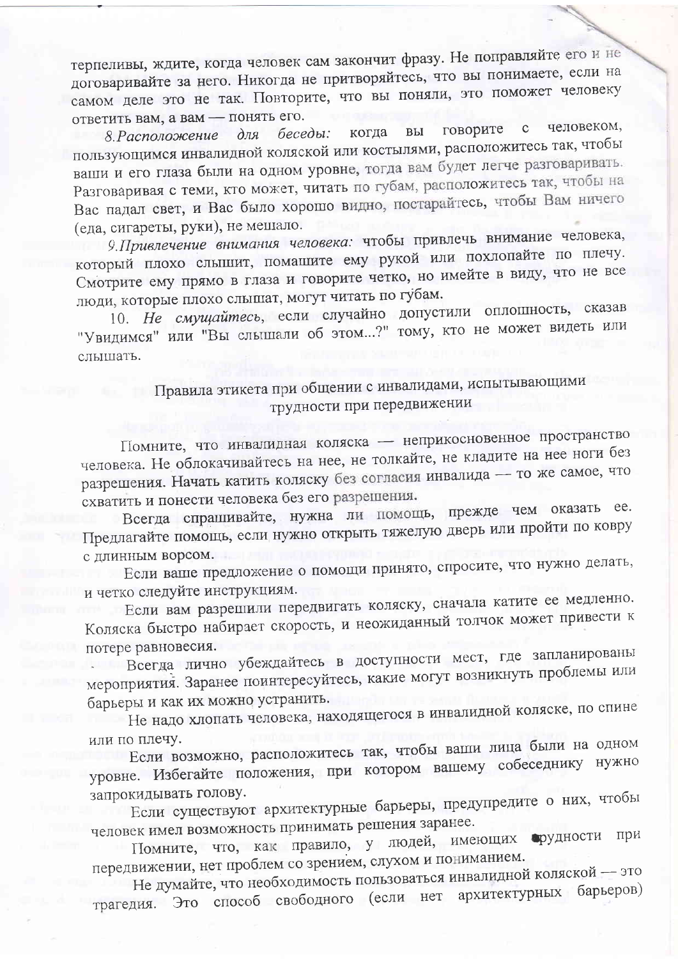терпеливы, ждите, когда человек сам закончит фразу. Не поправляйте его и не договаривайте за него. Никогда не притворяйтесь, что вы понимаете, если на самом деле это не так. Повторите, что вы поняли, это поможет человеку ответить вам, а вам - понять его.

человеком. говорите  $B<sub>PI</sub>$ когда  $\partial \pi$ я беседы: 8. Расположение пользующимся инвалидной коляской или костылями, расположитесь так, чтобы ваши и его глаза были на одном уровне, тогда вам будет легче разговаривать. Разговаривая с теми, кто может, читать по губам, расположитесь так, чтобы на Вас падал свет, и Вас было хорошо видно, постарайтесь, чтобы Вам ничего (еда, сигареты, руки), не мешало.

9. Привлечение внимания человека: чтобы привлечь внимание человека, который плохо слышит, помашите ему рукой или похлопайте по плечу. Смотрите ему прямо в глаза и говорите четко, но имейте в виду, что не все люди, которые плохо слышат, могут читать по губам.

10. Не смущайтесь, если случайно допустили оплошность, сказав "Увидимся" или "Вы слышали об этом...?" тому, кто не может видеть или слышать.

# Правила этикета при общении с инвалидами, испытывающими трудности при передвижении

Помните, что инвалидная коляска - неприкосновенное пространство человека. Не облокачивайтесь на нее, не толкайте, не кладите на нее ноги без разрешения. Начать катить коляску без согласия инвалида - то же самое, что схватить и понести человека без его разрешения.

Всегда спрашивайте, нужна ли помощь, прежде чем оказать ее. Предлагайте помощь, если нужно открыть тяжелую дверь или пройти по ковру с длинным ворсом.

Если ваше предложение о помощи принято, спросите, что нужно делать, и четко следуйте инструкциям.

Если вам разрешили передвигать коляску, сначала катите ее медленно. Коляска быстро набирает скорость, и неожиданный толчок может привести к потере равновесия.

Всегда лично убеждайтесь в доступности мест, где запланированы мероприятия. Заранее поинтересуйтесь, какие могут возникнуть проблемы или барьеры и как их можно устранить.

Не надо хлопать человека, находящегося в инвалидной коляске, по спине

или по плечу. Если возможно, расположитесь так, чтобы ваши лица были на одном уровне. Избегайте положения, при котором вашему собеседнику нужно запрокидывать голову.

Если существуют архитектурные барьеры, предупредите о них, чтобы человек имел возможность принимать решения заранее.

Помните, что, как правило, у людей, имеющих срудности при передвижении, нет проблем со зрением, слухом и пониманием.

Не думайте, что необходимость пользоваться инвалидной коляской - это трагедия. Это способ свободного (если нет архитектурных барьеров)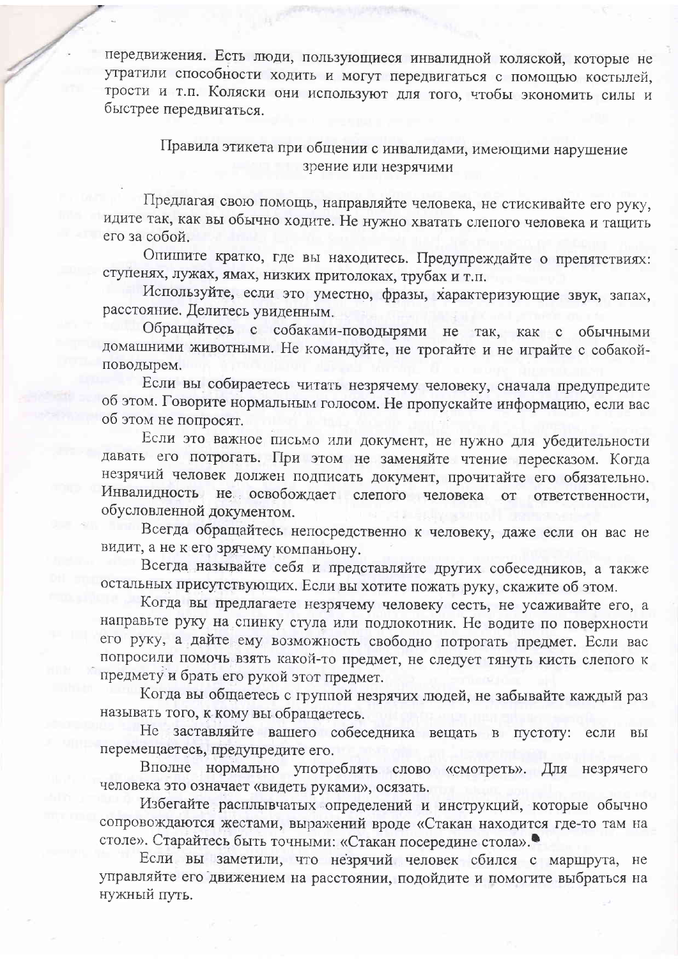передвижения. Есть люди, пользующиеся инвалидной коляской, которые не утратили способности ходить и могут передвигаться с помощью костылей, трости и т.п. Коляски они используют для того, чтобы экономить силы и быстрее передвигаться.

### Правила этикета при общении с инвалидами, имеющими нарушение зрение или незрячими

Предлагая свою помощь, направляйте человека, не стискивайте его руку, идите так, как вы обычно ходите. Не нужно хватать слепого человека и тащить его за собой.

Опишите кратко, где вы находитесь. Предупреждайте о препятствиях: ступенях, лужах, ямах, низких притолоках, трубах и т.п.

Используйте, если это уместно, фразы, характеризующие звук, запах, расстояние. Делитесь увиденным.

Обращайтесь с собаками-поводырями не так, как с обычными домашними животными. Не командуйте, не трогайте и не играйте с собакойповодырем.

Если вы собираетесь читать незрячему человеку, сначала предупредите об этом. Говорите нормальным голосом. Не пропускайте информацию, если вас об этом не попросят.

Если это важное письмо или документ, не нужно для убедительности давать его потрогать. При этом не заменяйте чтение пересказом. Когда незрячий человек должен подписать документ, прочитайте его обязательно. Инвалидность не освобождает слепого человека от ответственности, обусловленной документом.

Всегда обращайтесь непосредственно к человеку, даже если он вас не видит, а не к его зрячему компаньону.

Всегда называйте себя и представляйте других собеседников, а также остальных присутствующих. Если вы хотите пожать руку, скажите об этом.

Когда вы предлагаете незрячему человеку сесть, не усаживайте его, а направьте руку на спинку стула или подлокотник. Не водите по поверхности его руку, а дайте ему возможность свободно потрогать предмет. Если вас попросили помочь взять какой-то предмет, не следует тянуть кисть слепого к предмету и брать его рукой этот предмет.

Когда вы общаетесь с группой незрячих людей, не забывайте каждый раз называть того, к кому вы обращаетесь.

Не заставляйте вашего собеседника вещать в пустоту: если вы перемещаетесь, предупредите его.

Вполне нормально употреблять слово «смотреть». Для незрячего человека это означает «видеть руками», осязать.

Избегайте расплывчатых определений и инструкций, которые обычно сопровождаются жестами, выражений вроде «Стакан находится где-то там на столе». Старайтесь быть точными: «Стакан посередине стола».

Если вы заметили, что незрячий человек сбился с маршрута, не управляйте его движением на расстоянии, подойдите и помогите выбраться на нужный путь.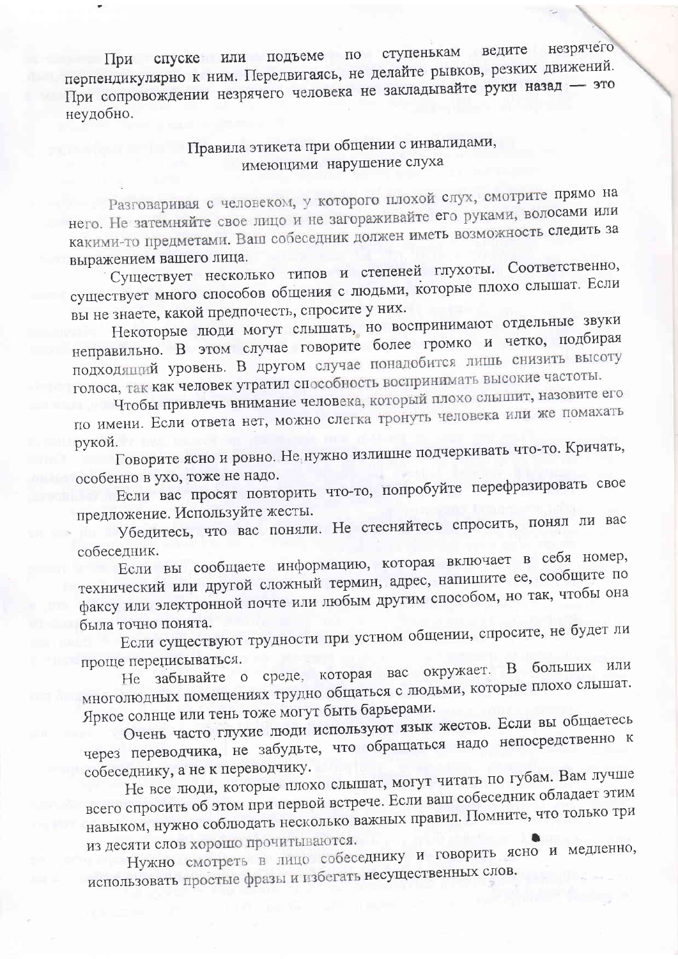спуске или подъеме по ступенькам ведите незрячего При перпендикулярно к ним. Передвигаясь, не делайте рывков, резких движений. При сопровождении незрячего человека не закладывайте руки назад - это неудобно.

## Правила этикета при общении с инвалидами, имеющими нарушение слуха

Разговаривая с человеком, у которого плохой слух, смотрите прямо на него. Не затемняйте свое лицо и не загораживайте его руками, волосами или какими-то предметами. Ваш собеседник должен иметь возможность следить за выражением вашего лица.

Существует несколько типов и степеней глухоты. Соответственно, существует много способов общения с людьми, которые плохо слышат. Если вы не знаете, какой предпочесть, спросите у них.

Некоторые люди могут слышать, но воспринимают отдельные звуки неправильно. В этом случае говорите более громко и четко, подбирая подходящий уровень. В другом случае понадобится лишь снизить высоту голоса, так как человек утратил способность воспринимать высокие частоты.

Чтобы привлечь внимание человека, который плохо слышит, назовите его по имени. Если ответа нет, можно слегка тронуть человека или же помахать рукой.

Говорите ясно и ровно. Не нужно излишне подчеркивать что-то. Кричать, особенно в ухо, тоже не надо.

Если вас просят повторить что-то, попробуйте перефразировать свое предложение. Используйте жесты.

Убедитесь, что вас поняли. Не стесняйтесь спросить, понял ли вас собеседник.

Если вы сообщаете информацию, которая включает в себя номер, технический или другой сложный термин, адрес, напишите ее, сообщите по факсу или электронной почте или любым другим способом, но так, чтобы она была точно понята.

Если существуют трудности при устном общении, спросите, не будет ли проще переписываться.

Не забывайте о среде, которая вас окружает. В больших или многолюдных помещениях трудно общаться с людьми, которые плохо слышат. Яркое солнце или тень тоже могут быть барьерами.

Очень часто глухие люди используют язык жестов. Если вы общаетесь через переводчика, не забудьте, что обращаться надо непосредственно к собеседнику, а не к переводчику.

Не все люди, которые плохо слышат, могут читать по губам. Вам лучше всего спросить об этом при первой встрече. Если ваш собеседник обладает этим навыком, нужно соблюдать несколько важных правил. Помните, что только три из десяти слов хорошо прочитываются.

Нужно смотреть в лицо собеседнику и говорить ясно и медленно, использовать простые фразы и избегать несущественных слов.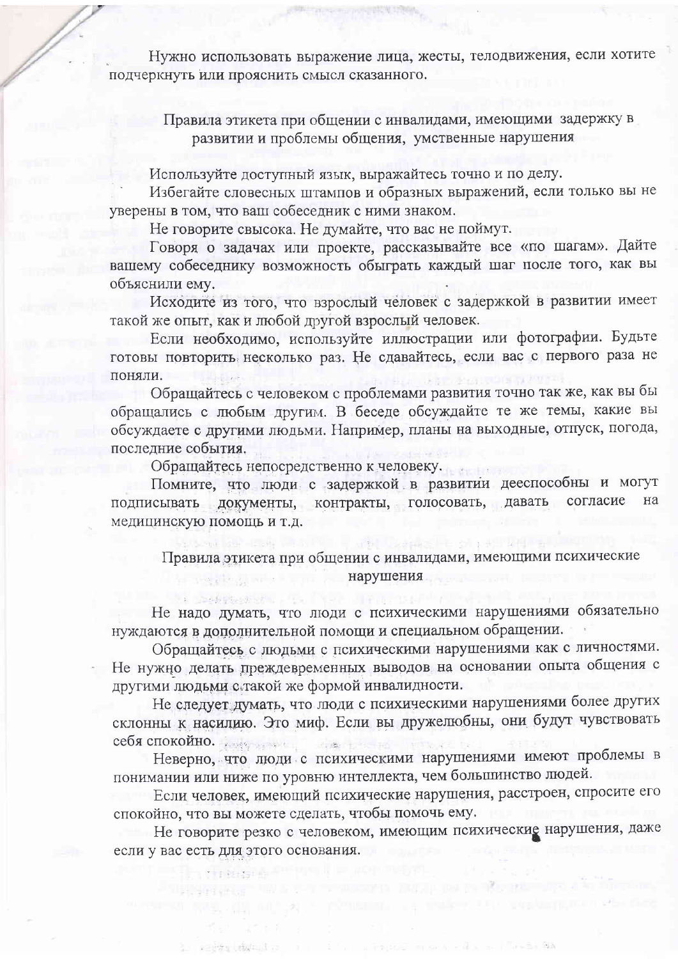Нужно использовать выражение лица, жесты, телодвижения, если хотите подчеркнуть или прояснить смысл сказанного.

> Правила этикета при общении с инвалидами, имеющими задержку в развитии и проблемы общения, умственные нарушения

Используйте доступный язык, выражайтесь точно и по делу.

Избегайте словесных штампов и образных выражений, если только вы не уверены в том, что ваш собеседник с ними знаком.

Не говорите свысока. Не думайте, что вас не поймут.

Говоря о задачах или проекте, рассказывайте все «по шагам». Дайте вашему собеседнику возможность обыграть каждый шаг после того, как вы объяснили ему.

Исходите из того, что взрослый человек с задержкой в развитии имеет такой же опыт, как и любой другой взрослый человек.

Если необходимо, используйте иллюстрации или фотографии. Будьте готовы повторить несколько раз. Не сдавайтесь, если вас с первого раза не поняли.

Обращайтесь с человеком с проблемами развития точно так же, как вы бы обращались с любым другим. В беседе обсуждайте те же темы, какие вы обсуждаете с другими людьми. Например, планы на выходные, отпуск, погода, последние события.

Обращайтесь непосредственно к человеку.

Помните, что люди с задержкой в развитии дееспособны и могут подписывать документы, контракты, голосовать, давать согласие Ha медицинскую помощь и т.д.

Правила этикета при общении с инвалидами, имеющими психические нарушения

Не надо думать, что люди с психическими нарушениями обязательно нуждаются в дополнительной помощи и специальном обращении.

Обращайтесь с людьми с психическими нарушениями как с личностями. Не нужно делать преждевременных выводов на основании опыта общения с другими людьми с такой же формой инвалидности.

Не следует думать, что люди с психическими нарушениями более других склонны к насилию. Это миф. Если вы дружелюбны, они будут чувствовать себя спокойно.

Неверно, что люди с психическими нарушениями имеют проблемы в понимании или ниже по уровню интеллекта, чем большинство людей.

Если человек, имеющий психические нарушения, расстроен, спросите его спокойно, что вы можете сделать, чтобы помочь ему.

Не говорите резко с человеком, имеющим психические нарушения, даже если у вас есть для этого основания.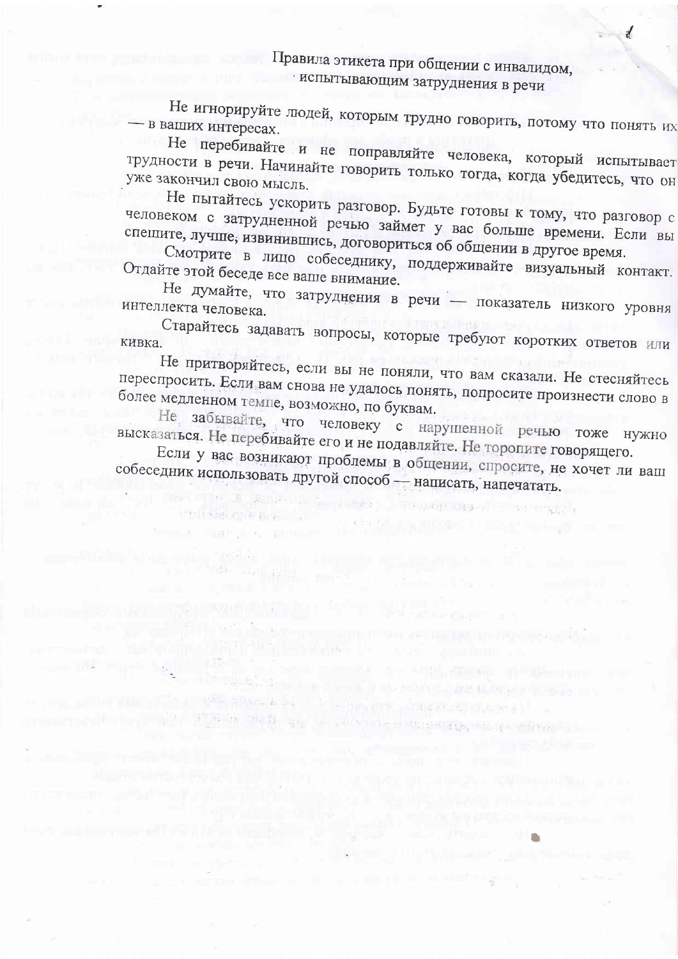# Правила этикета при общении с инвалидом, испытывающим затруднения в речи

Не игнорируйте людей, которым трудно говорить, потому что понять их - в ваших интересах.

Не перебивайте и не поправляйте человека, который испытывает трудности в речи. Начинайте говорить только тогда, когда убедитесь, что он уже закончил свою мысль.

Не пытайтесь ускорить разговор. Будьте готовы к тому, что разговор с человеком с затрудненной речью займет у вас больше времени. Если вы спешите, лучше, извинившись, договориться об общении в другое время.

Смотрите в лицо собеседнику, поддерживайте визуальный контакт. Отдайте этой беседе все ваше внимание.

Не думайте, что затруднения в речи - показатель низкого уровня интеллекта человека.

Старайтесь задавать вопросы, которые требуют коротких ответов или кивка.

Не притворяйтесь, если вы не поняли, что вам сказали. Не стесняйтесь переспросить. Если вам снова не удалось понять, попросите произнести слово в более медленном темпе, возможно, по буквам.

Не забывайте, что человеку с нарушенной речью тоже нужно высказаться. Не перебивайте его и не подавляйте. Не торопите говорящего.

Если у вас возникают проблемы в общении, спросите, не хочет ли ваш собеседник использовать другой способ - написать, напечатать. Discounts a support the Special Accounts of the second party and a

I Show with a relation of a new content to see to be a relation of the

The pose profile and a

**PARTICIPAL AND INCOME.** 

The control of the construction of the second second in the construction of the construction of the construction of the construction of the construction of the construction of the construction of the construction of the co

on the a fould an initial shore entered any society of the full